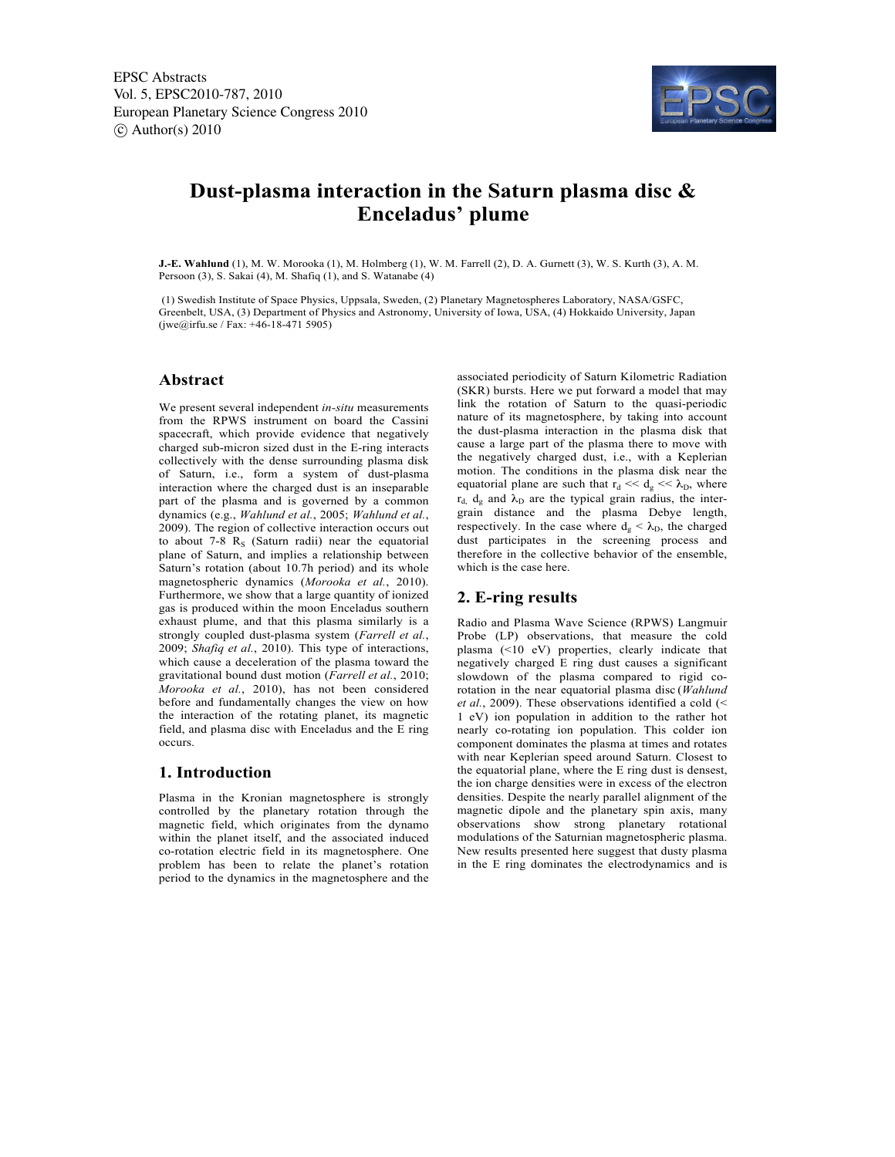EPSC Abstracts Vol. 5, EPSC2010-787, 2010 European Planetary Science Congress 2010  $\circ$  Author(s) 2010



# **Dust-plasma interaction in the Saturn plasma disc & Enceladus' plume**

**J.-E. Wahlund** (1), M. W. Morooka (1), M. Holmberg (1), W. M. Farrell (2), D. A. Gurnett (3), W. S. Kurth (3), A. M. Persoon (3), S. Sakai (4), M. Shafiq (1), and S. Watanabe (4)

 (1) Swedish Institute of Space Physics, Uppsala, Sweden, (2) Planetary Magnetospheres Laboratory, NASA/GSFC, Greenbelt, USA, (3) Department of Physics and Astronomy, University of Iowa, USA, (4) Hokkaido University, Japan  $(iwe@irfu.se / Fax: +46-18-4715905)$ 

# **Abstract**

We present several independent *in-situ* measurements from the RPWS instrument on board the Cassini spacecraft, which provide evidence that negatively charged sub-micron sized dust in the E-ring interacts collectively with the dense surrounding plasma disk of Saturn, i.e., form a system of dust-plasma interaction where the charged dust is an inseparable part of the plasma and is governed by a common dynamics (e.g., *Wahlund et al.*, 2005; *Wahlund et al.*, 2009). The region of collective interaction occurs out to about 7-8  $R<sub>S</sub>$  (Saturn radii) near the equatorial plane of Saturn, and implies a relationship between Saturn's rotation (about 10.7h period) and its whole magnetospheric dynamics (*Morooka et al.*, 2010). Furthermore, we show that a large quantity of ionized gas is produced within the moon Enceladus southern exhaust plume, and that this plasma similarly is a strongly coupled dust-plasma system (*Farrell et al.*, 2009; *Shafiq et al.*, 2010). This type of interactions, which cause a deceleration of the plasma toward the gravitational bound dust motion (*Farrell et al.*, 2010; *Morooka et al.*, 2010), has not been considered before and fundamentally changes the view on how the interaction of the rotating planet, its magnetic field, and plasma disc with Enceladus and the E ring occurs.

## **1. Introduction**

Plasma in the Kronian magnetosphere is strongly controlled by the planetary rotation through the magnetic field, which originates from the dynamo within the planet itself, and the associated induced co-rotation electric field in its magnetosphere. One problem has been to relate the planet's rotation period to the dynamics in the magnetosphere and the associated periodicity of Saturn Kilometric Radiation (SKR) bursts. Here we put forward a model that may link the rotation of Saturn to the quasi-periodic nature of its magnetosphere, by taking into account the dust-plasma interaction in the plasma disk that cause a large part of the plasma there to move with the negatively charged dust, i.e., with a Keplerian motion. The conditions in the plasma disk near the equatorial plane are such that  $r_d \ll d_e \ll \lambda_D$ , where  $r_{d}$ ,  $d_g$  and  $\lambda_D$  are the typical grain radius, the intergrain distance and the plasma Debye length, respectively. In the case where  $d_g < \lambda_D$ , the charged dust participates in the screening process and therefore in the collective behavior of the ensemble, which is the case here.

## **2. E-ring results**

Radio and Plasma Wave Science (RPWS) Langmuir Probe (LP) observations, that measure the cold plasma (<10 eV) properties, clearly indicate that negatively charged E ring dust causes a significant slowdown of the plasma compared to rigid corotation in the near equatorial plasma disc (*Wahlund et al.*, 2009). These observations identified a cold (< 1 eV) ion population in addition to the rather hot nearly co-rotating ion population. This colder ion component dominates the plasma at times and rotates with near Keplerian speed around Saturn. Closest to the equatorial plane, where the E ring dust is densest, the ion charge densities were in excess of the electron densities. Despite the nearly parallel alignment of the magnetic dipole and the planetary spin axis, many observations show strong planetary rotational modulations of the Saturnian magnetospheric plasma. New results presented here suggest that dusty plasma in the E ring dominates the electrodynamics and is